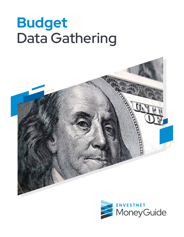# **Budget** Data Gathering



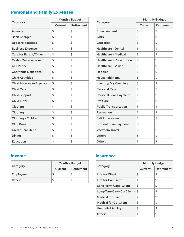## **Personal and Family Expenses**

| Category                       | <b>Monthly Budget</b> |            |  | <b>Monthly Budget</b>            |         |                   |
|--------------------------------|-----------------------|------------|--|----------------------------------|---------|-------------------|
|                                | Current               | Retirement |  | Category                         | Current | <b>Retirement</b> |
| Alimony                        | \$                    | \$         |  | Entertainment                    | \$      | \$                |
| <b>Bank Charges</b>            | \$                    | \$         |  | Gifts                            | \$      | \$                |
| <b>Books/Magazines</b>         | \$                    | \$         |  | Groceries                        | \$      | \$                |
| <b>Business Expense</b>        | \$                    | \$         |  | <b>Healthcare - Dental</b>       | \$      | \$                |
| Care for Parent/Other          | \$                    | \$         |  | <b>Healthcare - Medical</b>      | \$      | \$                |
| <b>Cash - Miscellaneous</b>    | \$                    | \$         |  | <b>Healthcare - Prescription</b> | \$      | \$                |
| <b>Cell Phone</b>              | \$                    | \$         |  | <b>Healthcare - Vision</b>       | \$      | \$                |
| <b>Charitable Donations</b>    | \$                    | \$         |  | <b>Hobbies</b>                   | \$      | \$                |
| <b>Child Activities</b>        | \$                    | \$         |  | <b>Household Items</b>           | \$      | \$                |
| <b>Child Allowance/Expense</b> | \$                    | \$         |  | <b>Laundry/Dry Cleaning</b>      | \$      | \$                |
| <b>Child Care</b>              | \$                    | \$         |  | <b>Personal Care</b>             | \$      | \$                |
| <b>Child Support</b>           | \$                    | \$         |  | <b>Personal Loan Payment</b>     | \$      | \$                |
| <b>Child Tutor</b>             | \$                    | \$         |  | <b>Pet Care</b>                  | \$      | \$                |
| Clothing                       | \$                    | \$         |  | <b>Public Transportation</b>     | \$      | \$                |
| Clothing                       | \$                    | \$         |  | Recreation                       | \$      | \$                |
| Clothing - Children            | \$                    | \$         |  | Self Improvement                 | \$      | \$                |
| <b>Club Dues</b>               | \$                    | \$         |  | <b>Student Loan Payment</b>      | \$      | \$                |
| <b>Credit Card Debt</b>        | \$                    | \$         |  | Vacation/Travel                  | \$      | \$                |
| Dining                         | \$                    | \$         |  | Other:                           | \$      | \$                |
| <b>Education</b>               | \$                    | \$         |  | Other:                           | \$      | \$                |

#### **Income**

|            | <b>Monthly Budget</b> |            |  |
|------------|-----------------------|------------|--|
| Category   | Current               | Retirement |  |
| Employment | ת                     |            |  |
| Other:     | ₽                     |            |  |

#### **Insurance**

|                              | <b>Monthly Budget</b> |            |  |
|------------------------------|-----------------------|------------|--|
| Category                     | Current               | Retirement |  |
| Life for Client              | \$                    | \$         |  |
| Life for Co-Client           | \$                    | \$         |  |
| Long-Term Care (Client)      | \$                    | \$         |  |
| Long-Term Care (Co-Client)   | \$                    | \$         |  |
| <b>Medical for Client</b>    | \$                    | \$         |  |
| <b>Medical for Co-Client</b> | \$                    | \$         |  |
| <b>Umbrella Liability</b>    | \$                    | \$         |  |
| Other:                       | \$                    | \$         |  |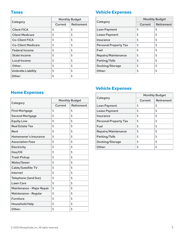#### **Taxes**

|                           | <b>Monthly Budget</b> |            |  |
|---------------------------|-----------------------|------------|--|
| Category                  | Current               | Retirement |  |
| <b>Client FICA</b>        | \$                    | \$         |  |
| <b>Client Medicare</b>    | \$                    | \$         |  |
| <b>Co-Client FICA</b>     | \$                    | \$         |  |
| <b>Co-Client Medicare</b> | \$                    | \$         |  |
| <b>Federal Income</b>     | \$                    | \$         |  |
| <b>State Income</b>       | \$                    | \$         |  |
| <b>Local Income</b>       | \$                    | \$         |  |
| Other:                    | \$                    | \$         |  |
| Umbrella Liability        | \$                    | \$         |  |
| Other:                    | \$                    | \$         |  |

## **Vehicle Expenses**

|                              | <b>Monthly Budget</b> |            |  |
|------------------------------|-----------------------|------------|--|
| Category                     | Current               | Retirement |  |
| <b>Loan Payment</b>          | \$                    | \$         |  |
| <b>Lease Payment</b>         | \$                    | \$         |  |
| Insurance                    | \$                    | \$         |  |
| <b>Personal Property Tax</b> | \$                    | \$         |  |
| Fuel                         | \$                    | \$         |  |
| Repairs/Maintenance          | \$                    | \$         |  |
| Parking/Tolls                | \$                    | \$         |  |
| Docking/Storage              | \$                    | \$         |  |
| Other:                       | \$                    | \$         |  |

## **Home Expenses**

|                            | <b>Monthly Budget</b> |            |  |
|----------------------------|-----------------------|------------|--|
| Category                   | Current               | Retirement |  |
| <b>First Mortgage</b>      | \$                    | \$         |  |
| <b>Second Mortgage</b>     | \$                    | \$         |  |
| <b>Equity Line</b>         | \$                    | \$         |  |
| <b>Real Estate Tax</b>     | \$                    | \$         |  |
| Rent                       | \$                    | \$         |  |
| Homeowner's Insurance      | \$                    | \$         |  |
| <b>Association Fees</b>    | \$                    | \$         |  |
| Electricity                | \$                    | \$         |  |
| Gas/Oil                    | \$                    | \$         |  |
| <b>Trash Pickup</b>        | \$                    | \$         |  |
| <b>Water/Sewer</b>         | \$                    | \$         |  |
| Cable/Satellite TV         | \$                    | \$         |  |
| Internet                   | \$                    | \$         |  |
| Telephone (land line)      | \$                    | \$         |  |
| <b>Lawn Care</b>           | \$                    | \$         |  |
| Maintenance - Major Repair | \$                    | \$         |  |
| Maintenance - Regular      | \$                    | \$         |  |
| <b>Furniture</b>           | \$                    | \$         |  |
| <b>Household Help</b>      | \$                    | \$         |  |
| Other:                     | \$                    | \$         |  |

# **Vehicle Expenses**

|                              | <b>Monthly Budget</b> |            |  |
|------------------------------|-----------------------|------------|--|
| Category                     | Current               | Retirement |  |
| Loan Payment                 | \$                    | \$         |  |
| <b>Lease Payment</b>         | \$                    | \$         |  |
| Insurance                    | \$                    | \$         |  |
| <b>Personal Property Tax</b> | \$                    | \$         |  |
| Fuel                         | \$                    | \$         |  |
| Repairs/Maintenance          | \$                    | \$         |  |
| Parking/Tolls                | \$                    | \$         |  |
| Docking/Storage              | \$                    | \$         |  |
| Other:                       | \$                    | \$         |  |